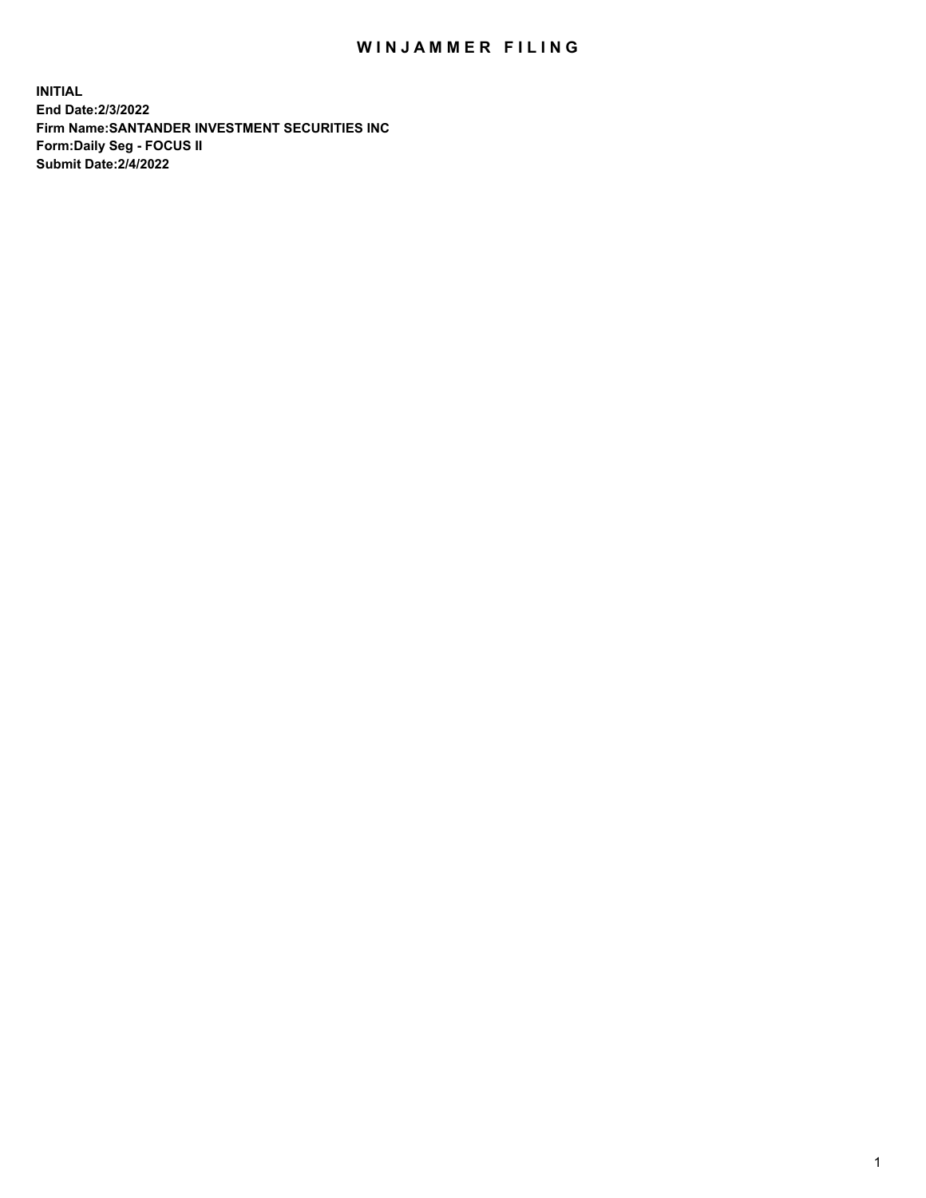## WIN JAMMER FILING

**INITIAL End Date:2/3/2022 Firm Name:SANTANDER INVESTMENT SECURITIES INC Form:Daily Seg - FOCUS II Submit Date:2/4/2022**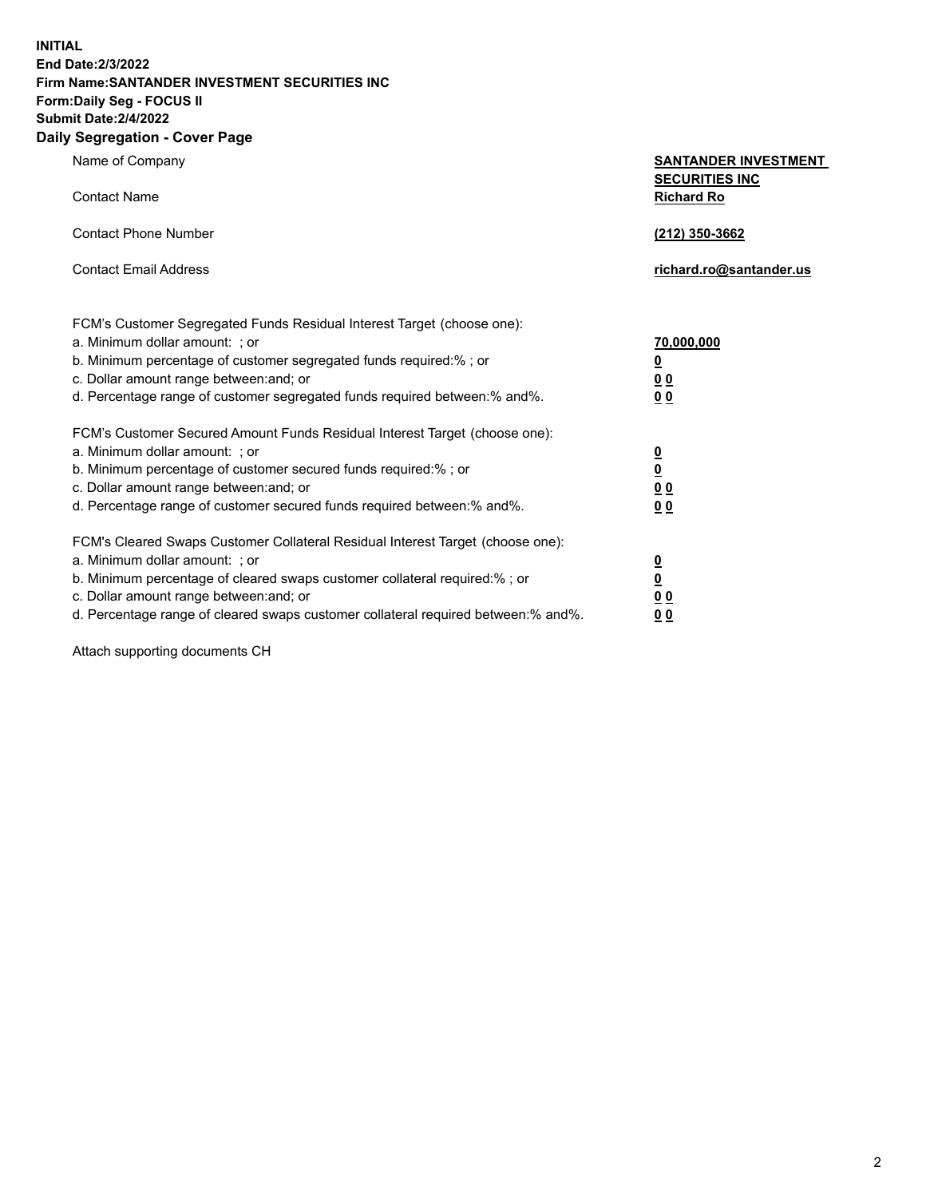**INITIAL End Date:2/3/2022 Firm Name:SANTANDER INVESTMENT SECURITIES INC Form:Daily Seg - FOCUS II Submit Date:2/4/2022 Daily Segregation - Cover Page**

| Name of Company                                                                   | <b>SANTANDER INVESTMENT</b>                |
|-----------------------------------------------------------------------------------|--------------------------------------------|
| <b>Contact Name</b>                                                               | <b>SECURITIES INC</b><br><b>Richard Ro</b> |
| <b>Contact Phone Number</b>                                                       | (212) 350-3662                             |
| <b>Contact Email Address</b>                                                      | richard.ro@santander.us                    |
| FCM's Customer Segregated Funds Residual Interest Target (choose one):            |                                            |
| a. Minimum dollar amount: ; or                                                    | 70,000,000                                 |
| b. Minimum percentage of customer segregated funds required:% ; or                | <u>0</u>                                   |
| c. Dollar amount range between: and; or                                           | 0 <sub>0</sub>                             |
| d. Percentage range of customer segregated funds required between:% and%.         | 0 <sub>0</sub>                             |
| FCM's Customer Secured Amount Funds Residual Interest Target (choose one):        |                                            |
| a. Minimum dollar amount: ; or                                                    | $\frac{0}{0}$                              |
| b. Minimum percentage of customer secured funds required:%; or                    |                                            |
| c. Dollar amount range between: and; or                                           | 0 <sub>0</sub>                             |
| d. Percentage range of customer secured funds required between: % and %.          | 0 <sub>0</sub>                             |
| FCM's Cleared Swaps Customer Collateral Residual Interest Target (choose one):    |                                            |
| a. Minimum dollar amount: ; or                                                    | $\overline{\mathbf{0}}$                    |
| b. Minimum percentage of cleared swaps customer collateral required:%; or         | <u>0</u>                                   |
| c. Dollar amount range between: and; or                                           | 0 <sub>0</sub>                             |
| d. Percentage range of cleared swaps customer collateral required between:% and%. | 00                                         |

Attach supporting documents CH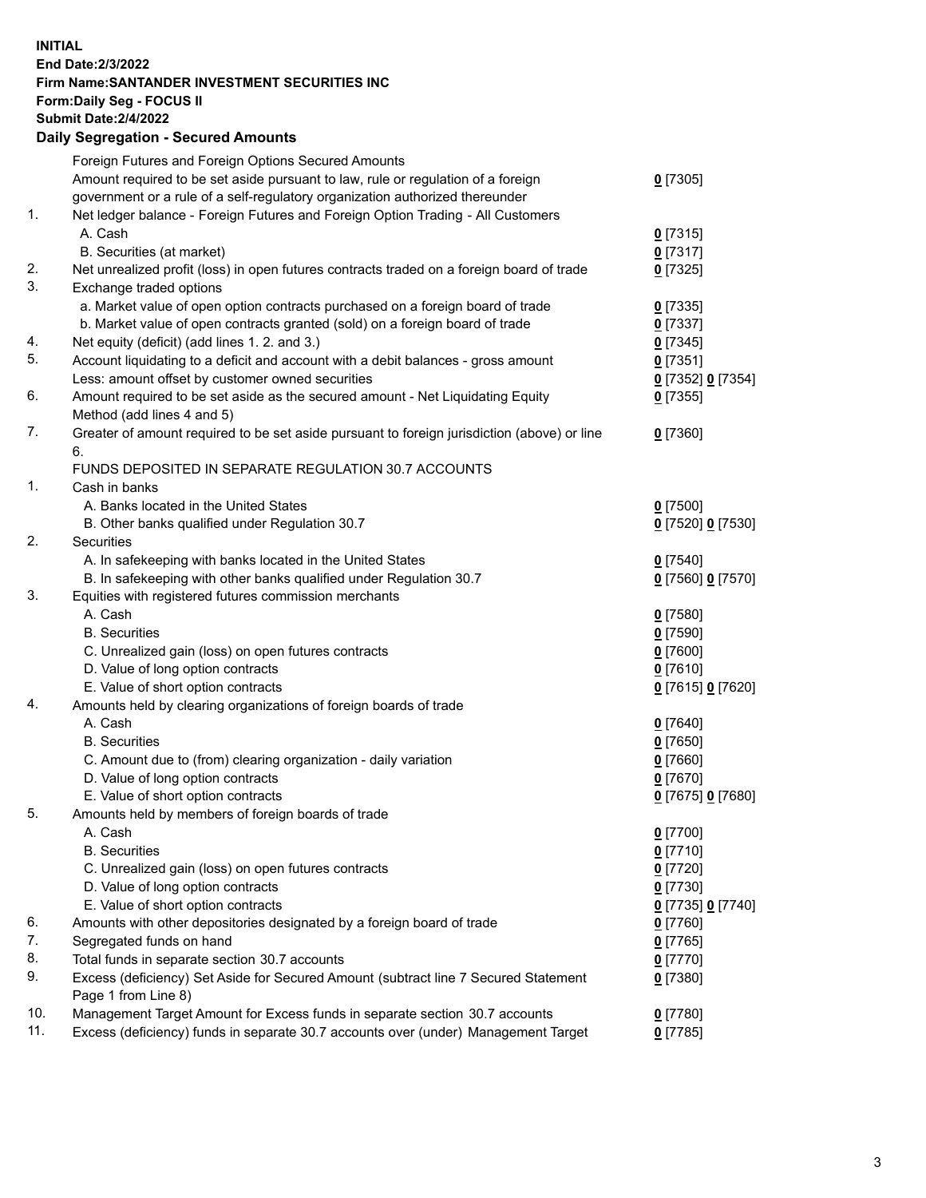## **INITIAL End Date:2/3/2022 Firm Name:SANTANDER INVESTMENT SECURITIES INC Form:Daily Seg - FOCUS II Submit Date:2/4/2022 Daily Segregation - Secured Amounts** Foreign Futures and Foreign Options Secured Amounts Amount required to be set aside pursuant to law, rule or regulation of a foreign government or a rule of a self-regulatory organization authorized thereunder 1. Net ledger balance - Foreign Futures and Foreign Option Trading - All Customers A. Cash **0** [7315] B. Securities (at market) **0** [7317] 2. Net unrealized profit (loss) in open futures contracts traded on a foreign board of trade **0** [7325] 3. Exchange traded options a. Market value of open option contracts purchased on a foreign board of trade **0** [7335] b. Market value of open contracts granted (sold) on a foreign board of trade **0** [7337] 4. Net equity (deficit) (add lines 1. 2. and 3.) **0** [7345] 5. Account liquidating to a deficit and account with a debit balances - gross amount **0** [7351] Less: amount offset by customer owned securities **0** [7352] **0** [7354] 6. Amount required to be set aside as the secured amount - Net Liquidating Equity Method (add lines 4 and 5) 7. Greater of amount required to be set aside pursuant to foreign jurisdiction (above) or line 6. FUNDS DEPOSITED IN SEPARATE REGULATION 30.7 ACCOUNTS 1. Cash in banks A. Banks located in the United States **0** [7500] B. Other banks qualified under Regulation 30.7 **0** [7520] **0** [7530] 2. Securities A. In safekeeping with banks located in the United States **0** [7540] B. In safekeeping with other banks qualified under Regulation 30.7 **0** [7560] **0** [7570]

3. Equities with registered futures commission merchants A. Cash **0** [7580] B. Securities **0** [7590] C. Unrealized gain (loss) on open futures contracts **0** [7600] D. Value of long option contracts **0** [7610] E. Value of short option contracts **0** [7615] **0** [7620] 4. Amounts held by clearing organizations of foreign boards of trade A. Cash **0** [7640] B. Securities **0** [7650] C. Amount due to (from) clearing organization - daily variation **0** [7660] D. Value of long option contracts **0** [7670] E. Value of short option contracts **0** [7675] **0** [7680] 5. Amounts held by members of foreign boards of trade A. Cash **0** [7700] B. Securities **0** [7710] C. Unrealized gain (loss) on open futures contracts **0** [7720] D. Value of long option contracts **0** [7730] E. Value of short option contracts **0** [7735] **0** [7740] 6. Amounts with other depositories designated by a foreign board of trade **0** [7760] 7. Segregated funds on hand **0** [7765] 8. Total funds in separate section 30.7 accounts **0** [7770] 9. Excess (deficiency) Set Aside for Secured Amount (subtract line 7 Secured Statement Page 1 from Line 8) **0** [7380] 10. Management Target Amount for Excess funds in separate section 30.7 accounts **0** [7780]

11. Excess (deficiency) funds in separate 30.7 accounts over (under) Management Target **0** [7785]

**0** [7305]

**0** [7355]

**0** [7360]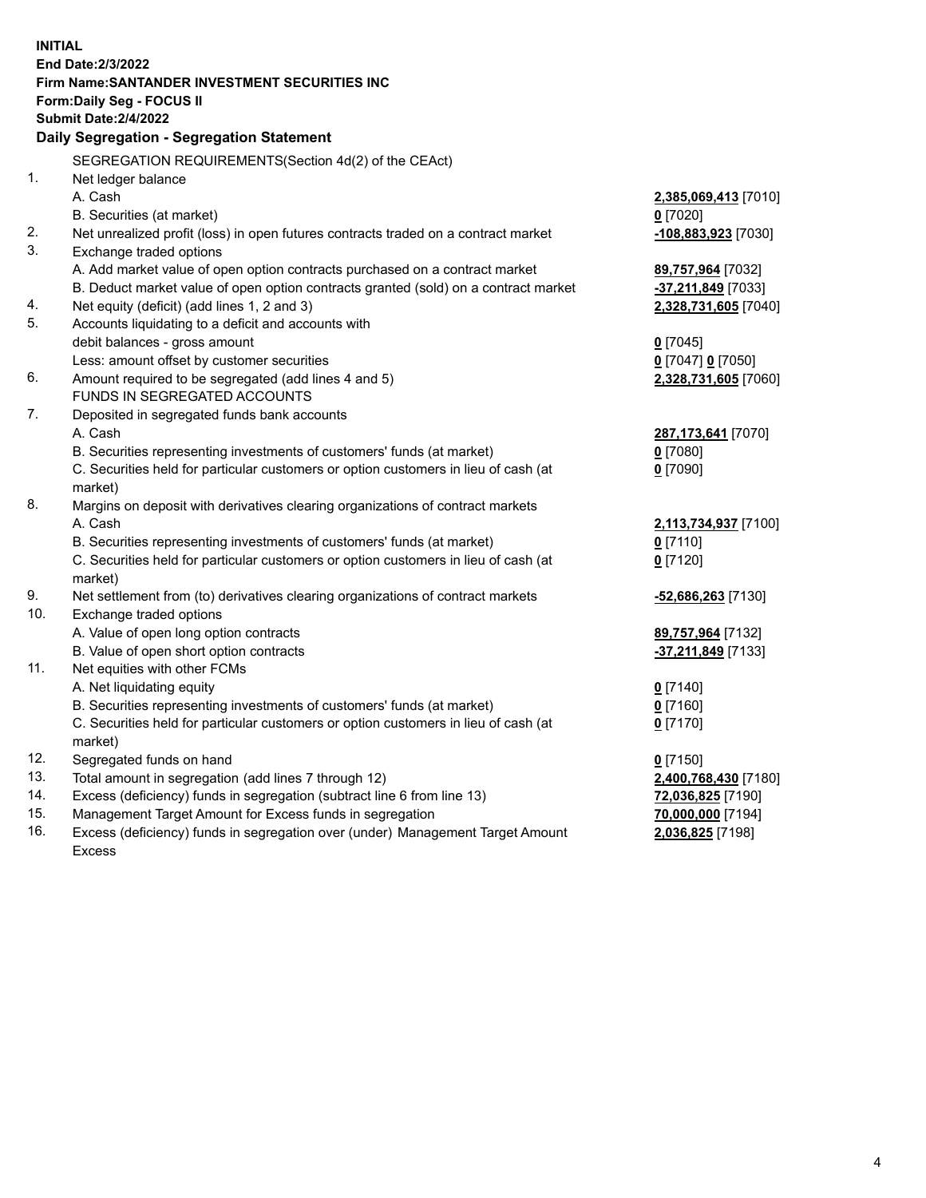| <b>INITIAL</b> |                                                                                                |                          |
|----------------|------------------------------------------------------------------------------------------------|--------------------------|
|                | <b>End Date:2/3/2022</b>                                                                       |                          |
|                | Firm Name: SANTANDER INVESTMENT SECURITIES INC                                                 |                          |
|                | <b>Form:Daily Seg - FOCUS II</b><br><b>Submit Date: 2/4/2022</b>                               |                          |
|                | Daily Segregation - Segregation Statement                                                      |                          |
|                |                                                                                                |                          |
|                | SEGREGATION REQUIREMENTS(Section 4d(2) of the CEAct)                                           |                          |
| 1.             | Net ledger balance                                                                             |                          |
|                | A. Cash                                                                                        | 2,385,069,413 [7010]     |
|                | B. Securities (at market)                                                                      | $0$ [7020]               |
| 2.             | Net unrealized profit (loss) in open futures contracts traded on a contract market             | -108,883,923 [7030]      |
| 3.             | Exchange traded options                                                                        |                          |
|                | A. Add market value of open option contracts purchased on a contract market                    | 89,757,964 [7032]        |
|                | B. Deduct market value of open option contracts granted (sold) on a contract market            | -37,211,849 [7033]       |
| 4.             | Net equity (deficit) (add lines 1, 2 and 3)                                                    | 2,328,731,605 [7040]     |
| 5.             | Accounts liquidating to a deficit and accounts with                                            |                          |
|                | debit balances - gross amount                                                                  | $0$ [7045]               |
|                | Less: amount offset by customer securities                                                     | 0 [7047] 0 [7050]        |
| 6.             | Amount required to be segregated (add lines 4 and 5)                                           | 2,328,731,605 [7060]     |
|                | FUNDS IN SEGREGATED ACCOUNTS                                                                   |                          |
| 7.             | Deposited in segregated funds bank accounts                                                    |                          |
|                | A. Cash                                                                                        | 287,173,641 [7070]       |
|                | B. Securities representing investments of customers' funds (at market)                         | $0$ [7080]<br>$0$ [7090] |
|                | C. Securities held for particular customers or option customers in lieu of cash (at<br>market) |                          |
| 8.             | Margins on deposit with derivatives clearing organizations of contract markets                 |                          |
|                | A. Cash                                                                                        | 2,113,734,937 [7100]     |
|                | B. Securities representing investments of customers' funds (at market)                         | $0$ [7110]               |
|                | C. Securities held for particular customers or option customers in lieu of cash (at            | $0$ [7120]               |
|                | market)                                                                                        |                          |
| 9.             | Net settlement from (to) derivatives clearing organizations of contract markets                | -52,686,263 [7130]       |
| 10.            | Exchange traded options                                                                        |                          |
|                | A. Value of open long option contracts                                                         | 89,757,964 [7132]        |
|                | B. Value of open short option contracts                                                        | $-37,211,849$ [7133]     |
| 11.            | Net equities with other FCMs                                                                   |                          |
|                | A. Net liquidating equity                                                                      | $0$ [7140]               |
|                | B. Securities representing investments of customers' funds (at market)                         | $0$ [7160]               |
|                | C. Securities held for particular customers or option customers in lieu of cash (at            | $0$ [7170]               |
|                | market)                                                                                        |                          |
| 12.            | Segregated funds on hand                                                                       | $0$ [7150]               |
| 13.            | Total amount in segregation (add lines 7 through 12)                                           | 2,400,768,430 [7180]     |
| 14.            | Excess (deficiency) funds in segregation (subtract line 6 from line 13)                        | 72,036,825 [7190]        |
| 15.            | Management Target Amount for Excess funds in segregation                                       | 70,000,000 [7194]        |
| 16.            | Excess (deficiency) funds in segregation over (under) Management Target Amount                 | 2,036,825 [7198]         |
|                | <b>Excess</b>                                                                                  |                          |